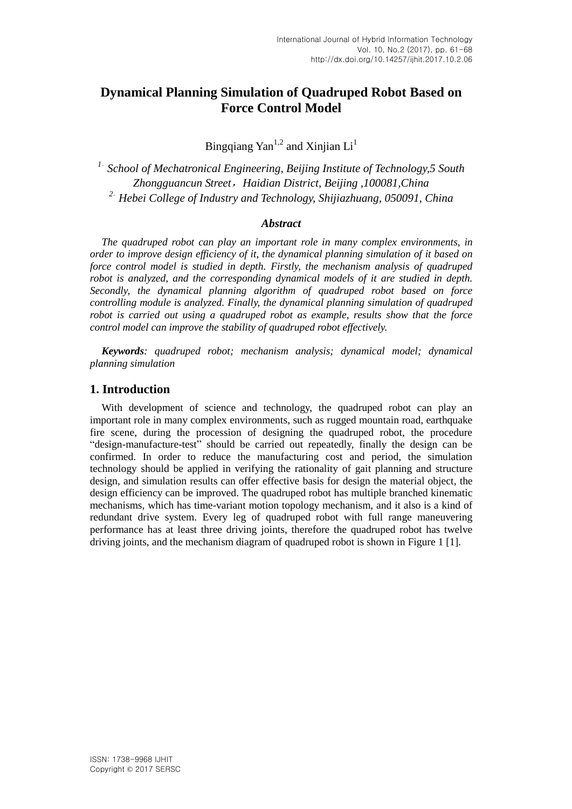# **Dynamical Planning Simulation of Quadruped Robot Based on Force Control Model**

Bingqiang Yan<sup>1,2</sup> and Xinjian  $Li<sup>1</sup>$ 

<sup>1.</sup> School of Mechatronical Engineering, Beijing Institute of Technology, 5 South *Zhongguancun Street*,*Haidian District, Beijing ,100081,China <sup>2</sup>*. *Hebei College of Industry and Technology, Shijiazhuang, 050091, China*

#### *Abstract*

*The quadruped robot can play an important role in many complex environments, in order to improve design efficiency of it, the dynamical planning simulation of it based on force control model is studied in depth. Firstly, the mechanism analysis of quadruped robot is analyzed, and the corresponding dynamical models of it are studied in depth. Secondly, the dynamical planning algorithm of quadruped robot based on force controlling module is analyzed. Finally, the dynamical planning simulation of quadruped robot is carried out using a quadruped robot as example, results show that the force control model can improve the stability of quadruped robot effectively.*

*Keywords: quadruped robot; mechanism analysis; dynamical model; dynamical planning simulation*

## **1. Introduction**

With development of science and technology, the quadruped robot can play an important role in many complex environments, such as rugged mountain road, earthquake fire scene, during the procession of designing the quadruped robot, the procedure "design-manufacture-test" should be carried out repeatedly, finally the design can be confirmed. In order to reduce the manufacturing cost and period, the simulation technology should be applied in verifying the rationality of gait planning and structure design, and simulation results can offer effective basis for design the material object, the design efficiency can be improved. The quadruped robot has multiple branched kinematic mechanisms, which has time-variant motion topology mechanism, and it also is a kind of redundant drive system. Every leg of quadruped robot with full range maneuvering performance has at least three driving joints, therefore the quadruped robot has twelve driving joints, and the mechanism diagram of quadruped robot is shown in Figure 1 [1].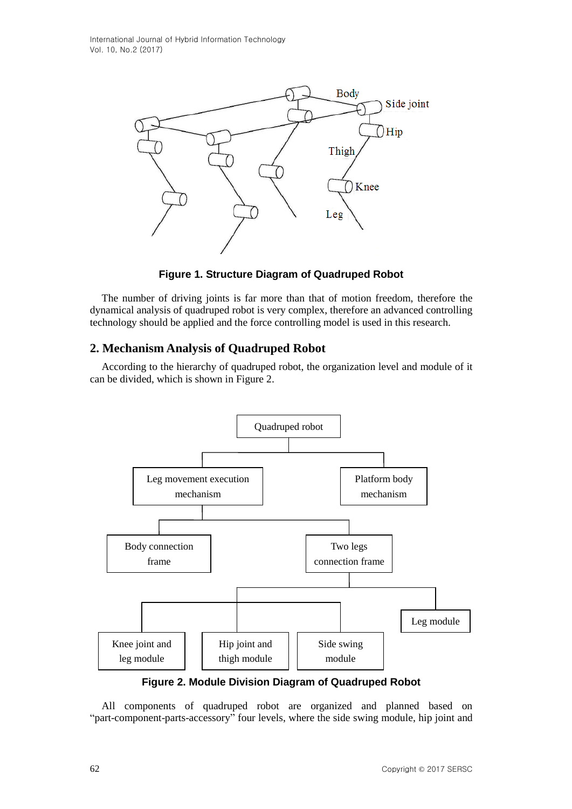International Journal of Hybrid Information Technology Vol. 10, No.2 (2017)



**Figure 1. Structure Diagram of Quadruped Robot**

The number of driving joints is far more than that of motion freedom, therefore the dynamical analysis of quadruped robot is very complex, therefore an advanced controlling technology should be applied and the force controlling model is used in this research.

## **2. Mechanism Analysis of Quadruped Robot**

According to the hierarchy of quadruped robot, the organization level and module of it can be divided, which is shown in Figure 2.



**Figure 2. Module Division Diagram of Quadruped Robot**

All components of quadruped robot are organized and planned based on "part-component-parts-accessory" four levels, where the side swing module, hip joint and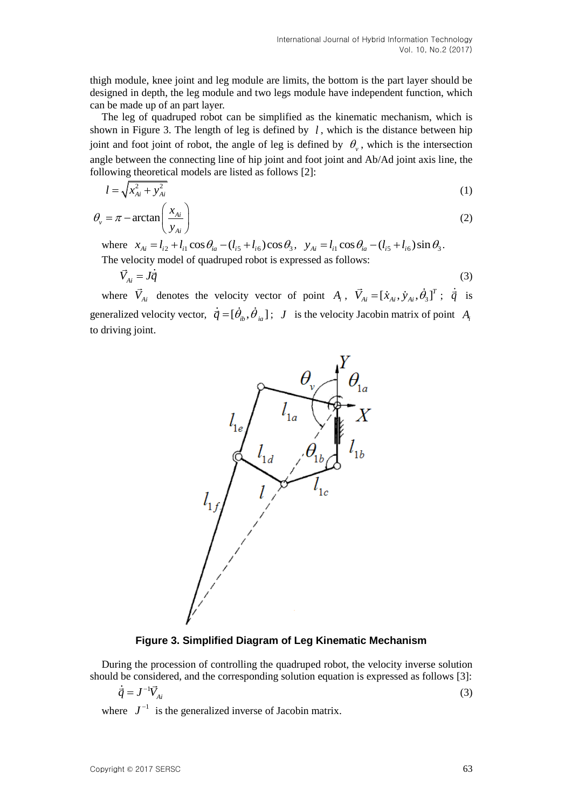thigh module, knee joint and leg module are limits, the bottom is the part layer should be designed in depth, the leg module and two legs module have independent function, which can be made up of an part layer.

The leg of quadruped robot can be simplified as the kinematic mechanism, which is shown in Figure 3. The length of leg is defined by  $l$ , which is the distance between hip joint and foot joint of robot, the angle of leg is defined by  $\theta_{\nu}$ , which is the intersection angle between the connecting line of hip joint and foot joint and Ab/Ad joint axis line, the following theoretical models are listed as follows [2]:

$$
l = \sqrt{x_{Ai}^2 + y_{Ai}^2}
$$
 (1)

$$
\theta_{\nu} = \pi - \arctan\left(\frac{x_{Ai}}{y_{Ai}}\right) \tag{2}
$$

where  $x_{Ai} = l_{i2} + l_{i1} \cos \theta_{ia} - (l_{i5} + l_{i6}) \cos \theta_3$ ,  $y_{Ai} = l_{i1} \cos \theta_{ia} - (l_{i5} + l_{i6}) \sin \theta_3$ . The velocity model of quadruped robot is expressed as follows:

$$
\vec{V}_{Ai} = J\dot{\vec{q}} \tag{3}
$$

where  $\vec{V}_{Ai}$  denotes the velocity vector of point  $A_i$ ,  $\vec{V}_{Ai} = [\dot{x}_{Ai}, \dot{y}_{Ai}, \dot{\theta}_3]^T$ ;  $\dot{\vec{q}}$  is generalized velocity vector,  $\vec{q} = [\theta_{ib}, \dot{\theta}_{ia}]$ ; *J* is the velocity Jacobin matrix of point  $A_i$ to driving joint.



#### **Figure 3. Simplified Diagram of Leg Kinematic Mechanism**

During the procession of controlling the quadruped robot, the velocity inverse solution should be considered, and the corresponding solution equation is expressed as follows [3]:

$$
\dot{\vec{q}} = J^{-1} \vec{V}_{Ai} \tag{3}
$$

where  $J^{-1}$  is the generalized inverse of Jacobin matrix.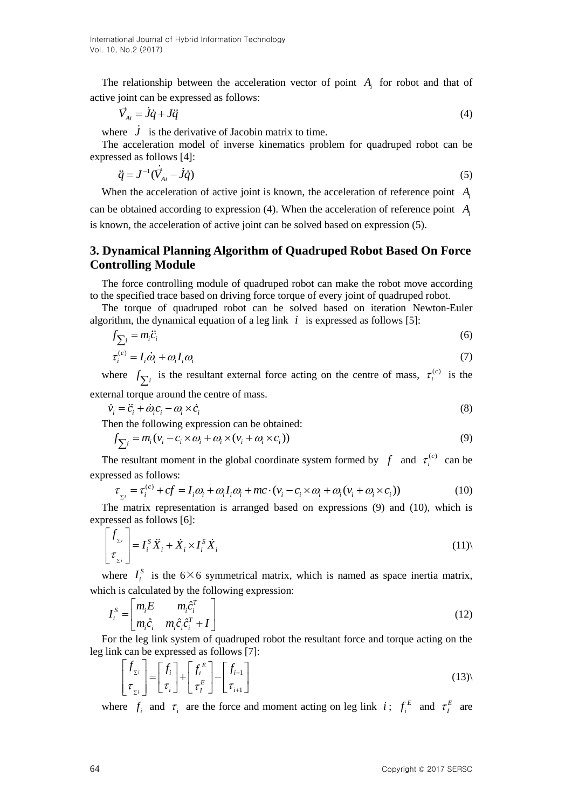The relationship between the acceleration vector of point  $A_i$  for robot and that of active joint can be expressed as follows:

$$
\vec{V}_{Ai} = \dot{J}\dot{q} + J\ddot{q} \tag{4}
$$

where  $\dot{J}$  is the derivative of Jacobin matrix to time.

The acceleration model of inverse kinematics problem for quadruped robot can be expressed as follows [4]:

$$
\ddot{q} = J^{-1}(\vec{V}_{Ai} - \dot{J}\dot{q})\tag{5}
$$

When the acceleration of active joint is known, the acceleration of reference point *Ai*

can be obtained according to expression (4). When the acceleration of reference point *Ai* is known, the acceleration of active joint can be solved based on expression (5).

## **3. Dynamical Planning Algorithm of Quadruped Robot Based On Force Controlling Module**

The force controlling module of quadruped robot can make the robot move according to the specified trace based on driving force torque of every joint of quadruped robot.

The torque of quadruped robot can be solved based on iteration Newton-Euler algorithm, the dynamical equation of a leg link  $i$  is expressed as follows [5]:

$$
f_{\sum_{i} = m_{i}c_{i}} \tag{6}
$$

$$
\tau_i^{(c)} = I_i \dot{\omega}_i + \omega_i I_i \omega_i \tag{7}
$$

where  $f_{\sum_i}$  is the resultant external force acting on the centre of mass,  $\tau_i^{(c)}$  $\tau_i^{(c)}$  is the external torque around the centre of mass.

$$
\dot{v}_i = \ddot{c}_i + \dot{\omega}_i c_i - \omega_i \times \dot{c}_i \tag{8}
$$

Then the following expression can be obtained:  
\n
$$
f_{\sum i} = m_i (v_i - c_i \times \omega_i + \omega_i \times (v_i + \omega_i \times c_i))
$$
\n(9)

The resultant moment in the global coordinate system formed by  $f$  and  $\tau_i^{(c)}$ *i* e resultant moment in the global coordinate system formed by  $f$  and  $\tau_i^{(c)}$  can be ssed as follows:<br>  $\tau_{\Sigma_i} = \tau_i^{(c)} + cf = I_i \omega_i + \omega_i I_i \omega_i + mc \cdot (v_i - c_i \times \omega_i + \omega_i (v_i + \omega_i \times c_i))$  (10) expressed as follows:

$$
\tau_{z_i} = \tau_i^{(c)} + cf = I_i \omega_i + \omega_i I_i \omega_i + mc \cdot (v_i - c_i \times \omega_i + \omega_i (v_i + \omega_i \times c_i))
$$
\n<sup>(10)</sup>

The matrix representation is arranged based on expressions (9) and (10), which is expressed as follows [6]:

$$
\begin{bmatrix} f_{\Sigma i} \\ \tau_{\Sigma i} \end{bmatrix} = I_i^S \ddot{X}_i + \dot{X}_i \times I_i^S \dot{X}_i
$$
\n(11)

where  $I_i^S$  $I_i^s$  is the 6×6 symmetrical matrix, which is named as space inertia matrix, which is calculated by the following expression:

$$
I_i^S = \begin{bmatrix} m_i E & m_i \hat{c}_i^T \\ m_i \hat{c}_i & m_i \hat{c}_i \hat{c}_i^T + I \end{bmatrix}
$$
 (12)

For the leg link system of quadruped robot the resultant force and torque acting on the

leg link can be expressed as follows [7]:  
\n
$$
\begin{bmatrix} f_{\Sigma i} \\ \tau_{\Sigma i} \end{bmatrix} = \begin{bmatrix} f_i \\ \tau_i \end{bmatrix} + \begin{bmatrix} f_i^E \\ \tau_i^E \end{bmatrix} - \begin{bmatrix} f_{i+1} \\ \tau_{i+1} \end{bmatrix}
$$
\n(13)

where  $f_i$  and  $\tau_i$  are the force and moment acting on leg link *i*;  $f_i^E$  $f_i^E$  and  $\tau_I^E$  $\tau_I^E$  are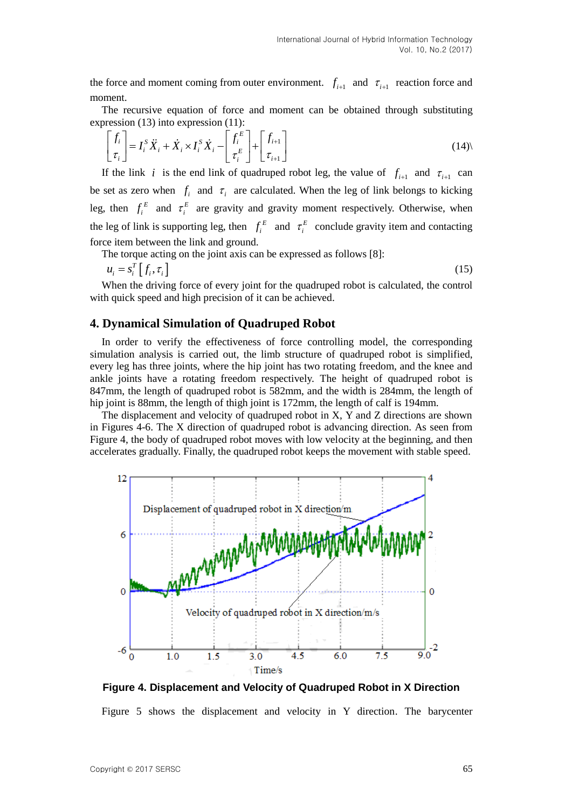the force and moment coming from outer environment.  $f_{i+1}$  and  $\tau_{i+1}$  reaction force and moment.

The recursive equation of force and moment can be obtained through substituting

expression (13) into expression (11):  
\n
$$
\begin{bmatrix} f_i \\ \tau_i \end{bmatrix} = I_i^S \ddot{X}_i + \dot{X}_i \times I_i^S \dot{X}_i - \begin{bmatrix} f_i^E \\ \tau_i^E \end{bmatrix} + \begin{bmatrix} f_{i+1} \\ \tau_{i+1} \end{bmatrix}
$$
\n(14)

If the link *i* is the end link of quadruped robot leg, the value of  $f_{i+1}$  and  $\tau_{i+1}$  can be set as zero when  $f_i$  and  $\tau_i$  are calculated. When the leg of link belongs to kicking leg, then  $f_i^E$  $f_i^E$  and  $\tau_i^E$  $\tau_i^E$  are gravity and gravity moment respectively. Otherwise, when the leg of link is supporting leg, then  $f_i^E$  $f_i^E$  and  $\tau_i^E$  $\tau_i^E$  conclude gravity item and contacting force item between the link and ground.

The torque acting on the joint axis can be expressed as follows [8]:

$$
u_i = s_i^T \left[ f_i, \tau_i \right] \tag{15}
$$

When the driving force of every joint for the quadruped robot is calculated, the control with quick speed and high precision of it can be achieved.

#### **4. Dynamical Simulation of Quadruped Robot**

In order to verify the effectiveness of force controlling model, the corresponding simulation analysis is carried out, the limb structure of quadruped robot is simplified, every leg has three joints, where the hip joint has two rotating freedom, and the knee and ankle joints have a rotating freedom respectively. The height of quadruped robot is 847mm, the length of quadruped robot is 582mm, and the width is 284mm, the length of hip joint is 88mm, the length of thigh joint is 172mm, the length of calf is 194mm.

The displacement and velocity of quadruped robot in X, Y and Z directions are shown in Figures 4-6. The X direction of quadruped robot is advancing direction. As seen from Figure 4, the body of quadruped robot moves with low velocity at the beginning, and then accelerates gradually. Finally, the quadruped robot keeps the movement with stable speed.



**Figure 4. Displacement and Velocity of Quadruped Robot in X Direction**

Figure 5 shows the displacement and velocity in Y direction. The barycenter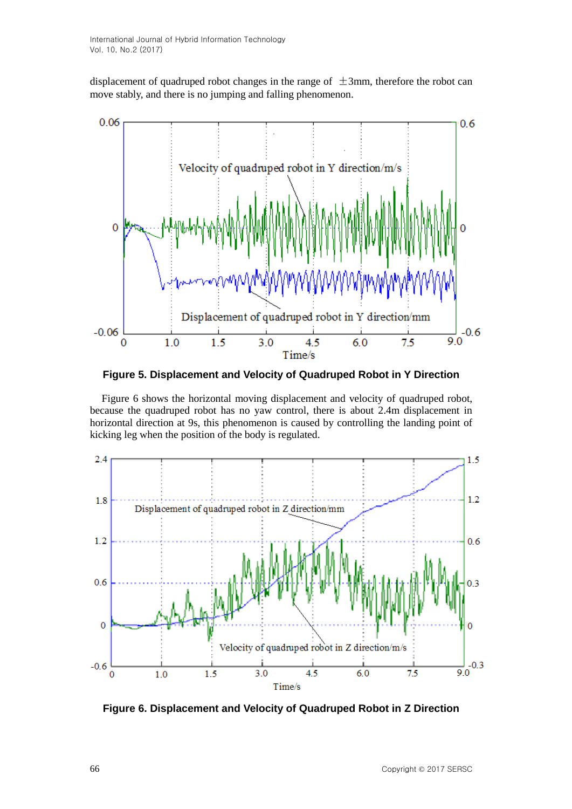displacement of quadruped robot changes in the range of  $\pm$ 3mm, therefore the robot can move stably, and there is no jumping and falling phenomenon.



**Figure 5. Displacement and Velocity of Quadruped Robot in Y Direction**

Figure 6 shows the horizontal moving displacement and velocity of quadruped robot, because the quadruped robot has no yaw control, there is about 2.4m displacement in horizontal direction at 9s, this phenomenon is caused by controlling the landing point of kicking leg when the position of the body is regulated.



**Figure 6. Displacement and Velocity of Quadruped Robot in Z Direction**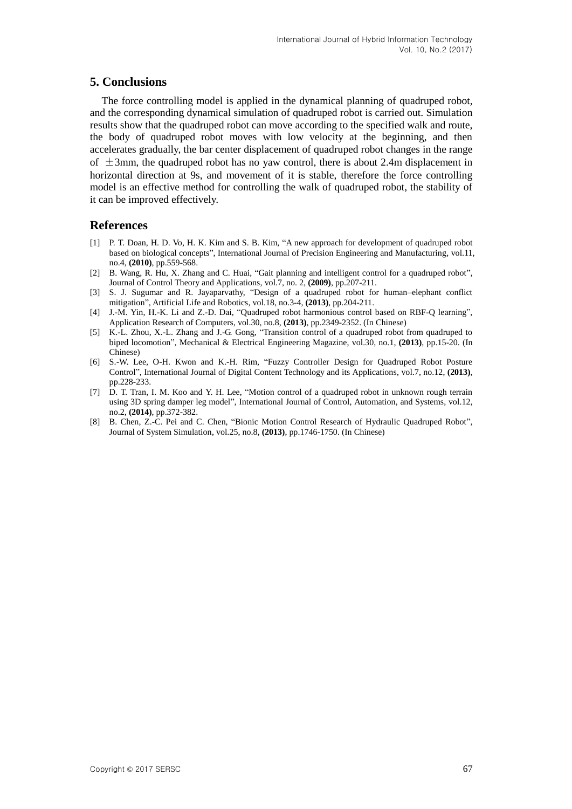## **5. Conclusions**

The force controlling model is applied in the dynamical planning of quadruped robot, and the corresponding dynamical simulation of quadruped robot is carried out. Simulation results show that the quadruped robot can move according to the specified walk and route, the body of quadruped robot moves with low velocity at the beginning, and then accelerates gradually, the bar center displacement of quadruped robot changes in the range of  $\pm$ 3mm, the quadruped robot has no yaw control, there is about 2.4m displacement in horizontal direction at 9s, and movement of it is stable, therefore the force controlling model is an effective method for controlling the walk of quadruped robot, the stability of it can be improved effectively.

#### **References**

- [1] P. T. [Doan,](http://link.springer.com/search?facet-creator=%22Phuc+Thinh+Doan%22) H. D. [Vo,](http://link.springer.com/search?facet-creator=%22Hoang+Duy+Vo%22) H. K. [Kim](http://link.springer.com/search?facet-creator=%22Hak+Kyeong+Kim%22) and S. B. [Kim,](http://link.springer.com/search?facet-creator=%22Sang+Bong+Kim%22) "A new approach for development of quadruped robot based on biological concepts"[, International Journal of Precision Engineering and Manufacturing,](http://link.springer.com/journal/12541) vol.11, no.4, **(2010)**, pp.559-568.
- [2] B. [Wang,](http://link.springer.com/search?facet-creator=%22Baoping+Wang%22) R. [Hu,](http://link.springer.com/search?facet-creator=%22Renxi+Hu%22) X. [Zhang](http://link.springer.com/search?facet-creator=%22Xiaodong+Zhang%22) and C. [Huai,](http://link.springer.com/search?facet-creator=%22Chuangfeng+Huai%22) "Gait planning and intelligent control for a quadruped robot", [Journal of Control Theory and Applications,](http://link.springer.com/journal/11768) vol.7, no[. 2,](http://link.springer.com/journal/11768/7/2/page/1) **(2009)**, pp.207-211.
- [3] [S. J. Sugumar](http://link.springer.com/search?facet-creator=%22S.+J.+Sugumar%22) and [R. Jayaparvathy,](http://link.springer.com/search?facet-creator=%22R.+Jayaparvathy%22) "Design of a quadruped robot for human–elephant conflict mitigation"[, Artificial Life and Robotics,](http://link.springer.com/journal/10015) vol.18, no.3-4, **(2013)**, pp.204-211.
- [4] J.-M. Yin, H.-K. Li and Z.-D. Dai, "Quadruped robot harmonious control based on RBF-Q learning", Application Research of Computers, vol.30, no.8, **(2013)**, pp.2349-2352. (In Chinese)
- [5] K.-L. Zhou, X.-L. Zhang and J.-G. Gong, "Transition control of a quadruped robot from quadruped to biped locomotion", Mechanical & Electrical Engineering Magazine, vol.30, no.1, **(2013)**, pp.15-20. (In Chinese)
- [6] S.-W. Lee, O-H. [Kwon](http://www.engineeringvillage.com/search/submit.url?CID=quickSearchCitationFormat&searchtype=Quick&searchWord1=%7bO-Hung+Kwon%7d§ion1=AU&database=3&yearselect=yearrange&sort=yr) and [K.-H.](http://www.engineeringvillage.com/search/submit.url?CID=quickSearchCitationFormat&searchtype=Quick&searchWord1=%7bKyung-Hwa+Rim%7d§ion1=AU&database=3&yearselect=yearrange&sort=yr) Rim, "Fuzzy Controller Design for Quadruped Robot Posture Control", International Journal of Digital Content Technology and its Applications, vol.7, no.12, **(2013)**, pp.228-233.
- [7] D. T. [Tran,](http://www.engineeringvillage.com/search/submit.url?CID=quickSearchCitationFormat&searchtype=Quick&searchWord1=%7bDuc+Trong+Tran%7d§ion1=AU&database=3&yearselect=yearrange&sort=yr) I. M. [Koo](http://www.engineeringvillage.com/search/submit.url?CID=quickSearchCitationFormat&searchtype=Quick&searchWord1=%7bIg+Mo+Koo%7d§ion1=AU&database=3&yearselect=yearrange&sort=yr) and Y. H. [Lee,](http://www.engineeringvillage.com/search/submit.url?CID=quickSearchCitationFormat&searchtype=Quick&searchWord1=%7bYoon+Haeng+Lee%7d§ion1=AU&database=3&yearselect=yearrange&sort=yr) "Motion control of a quadruped robot in unknown rough terrain using 3D spring damper leg model", International Journal of Control, Automation, and Systems, vol.12, no.2, **(2014)**, pp.372-382.
- [8] B. Chen, Z.-C. Pei and C. [Chen,](http://www.engineeringvillage.com/search/submit.url?CID=quickSearchCitationFormat&searchtype=Quick&searchWord1=%7bChen+Chen%7d§ion1=AU&database=3&yearselect=yearrange&sort=yr) "Bionic Motion Control Research of Hydraulic Quadruped Robot", Journal of System Simulation, vol.25, no.8, **(2013)**, pp.1746-1750. (In Chinese)